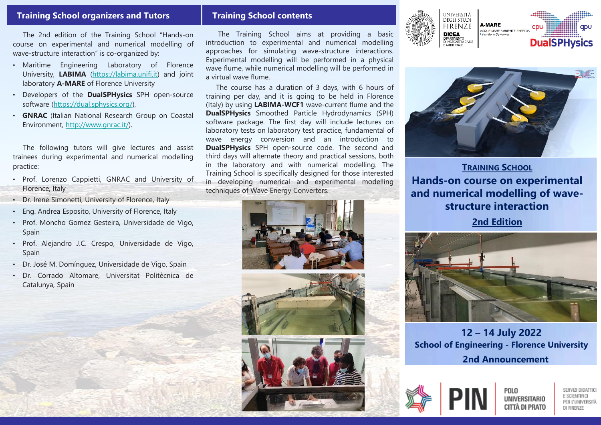## **Training School organizers and Tutors**

The 2nd edition of the Training School "Hands-on course on experimental and numerical modelling of wave-structure interaction" is co-organized by:

- Maritime Engineering Laboratory of Florence University, **LABIMA** [\(https://labima.unifi.it\)](https://labima.unifi.it/) and joint laboratory **A-MARE** of Florence University
- Developers of the **DualSPHysics** SPH open-source software [\(https://dual.sphysics.org/\)](https://dual.sphysics.org/),
- **GNRAC** (Italian National Research Group on Coastal Environment, <http://www.gnrac.it/>).

The following tutors will give lectures and assist trainees during experimental and numerical modelling practice:

- Prof. Lorenzo Cappietti, GNRAC and University of Florence, Italy
- Dr. Irene Simonetti, University of Florence, Italy
- Eng. Andrea Esposito, University of Florence, Italy
- Prof. Moncho Gomez Gesteira, Universidade de Vigo, Spain
- Prof. Alejandro J.C. Crespo, Universidade de Vigo, Spain
- Dr. José M. Domínguez, Universidade de Vigo, Spain
- Dr. Corrado Altomare, Universitat Politècnica de Catalunya, Spain

### **Training School contents**

The Training School aims at providing a basic introduction to experimental and numerical modelling approaches for simulating wave-structure interactions. Experimental modelling will be performed in a physical wave flume, while numerical modelling will be performed in a virtual wave flume.

The course has a duration of 3 days, with 6 hours of training per day, and it is going to be held in Florence (Italy) by using **LABIMA-WCF1** wave-current flume and the **DualSPHysics** Smoothed Particle Hydrodynamics (SPH) software package. The first day will include lectures on laboratory tests on laboratory test practice, fundamental of wave energy conversion and an introduction to **DualSPHysics** SPH open-source code. The second and third days will alternate theory and practical sessions, both in the laboratory and with numerical modelling. The Training School is specifically designed for those interested in developing numerical and experimental modelling techniques of Wave Energy Converters.











**TRAINING SCHOOL Hands-on course on experimental and numerical modelling of wavestructure interaction**

**2nd Edition**



**12 – 14 July 2022 School of Engineering - Florence University 2nd Announcement**



POLO **UNIVERSITARIO** CITTÀ DI PRATO

SERVIZI DIDATTICI E SCIENTIFICI PER L'UNIVERSITÀ DI FIRENZE